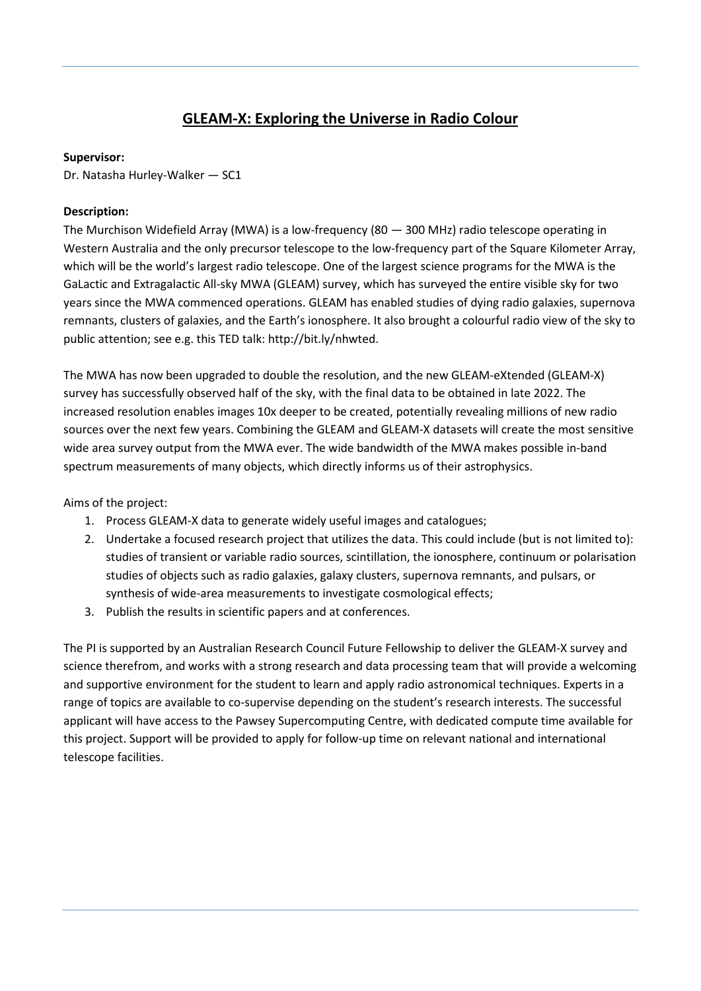## **GLEAM-X: Exploring the Universe in Radio Colour**

## **Supervisor:**

Dr. Natasha Hurley-Walker — SC1

## **Description:**

The Murchison Widefield Array (MWA) is a low-frequency (80 — 300 MHz) radio telescope operating in Western Australia and the only precursor telescope to the low-frequency part of the Square Kilometer Array, which will be the world's largest radio telescope. One of the largest science programs for the MWA is the GaLactic and Extragalactic All-sky MWA (GLEAM) survey, which has surveyed the entire visible sky for two years since the MWA commenced operations. GLEAM has enabled studies of dying radio galaxies, supernova remnants, clusters of galaxies, and the Earth's ionosphere. It also brought a colourful radio view of the sky to public attention; see e.g. this TED talk: http://bit.ly/nhwted.

The MWA has now been upgraded to double the resolution, and the new GLEAM-eXtended (GLEAM-X) survey has successfully observed half of the sky, with the final data to be obtained in late 2022. The increased resolution enables images 10x deeper to be created, potentially revealing millions of new radio sources over the next few years. Combining the GLEAM and GLEAM-X datasets will create the most sensitive wide area survey output from the MWA ever. The wide bandwidth of the MWA makes possible in-band spectrum measurements of many objects, which directly informs us of their astrophysics.

Aims of the project:

- 1. Process GLEAM-X data to generate widely useful images and catalogues;
- 2. Undertake a focused research project that utilizes the data. This could include (but is not limited to): studies of transient or variable radio sources, scintillation, the ionosphere, continuum or polarisation studies of objects such as radio galaxies, galaxy clusters, supernova remnants, and pulsars, or synthesis of wide-area measurements to investigate cosmological effects;
- 3. Publish the results in scientific papers and at conferences.

The PI is supported by an Australian Research Council Future Fellowship to deliver the GLEAM-X survey and science therefrom, and works with a strong research and data processing team that will provide a welcoming and supportive environment for the student to learn and apply radio astronomical techniques. Experts in a range of topics are available to co-supervise depending on the student's research interests. The successful applicant will have access to the Pawsey Supercomputing Centre, with dedicated compute time available for this project. Support will be provided to apply for follow-up time on relevant national and international telescope facilities.